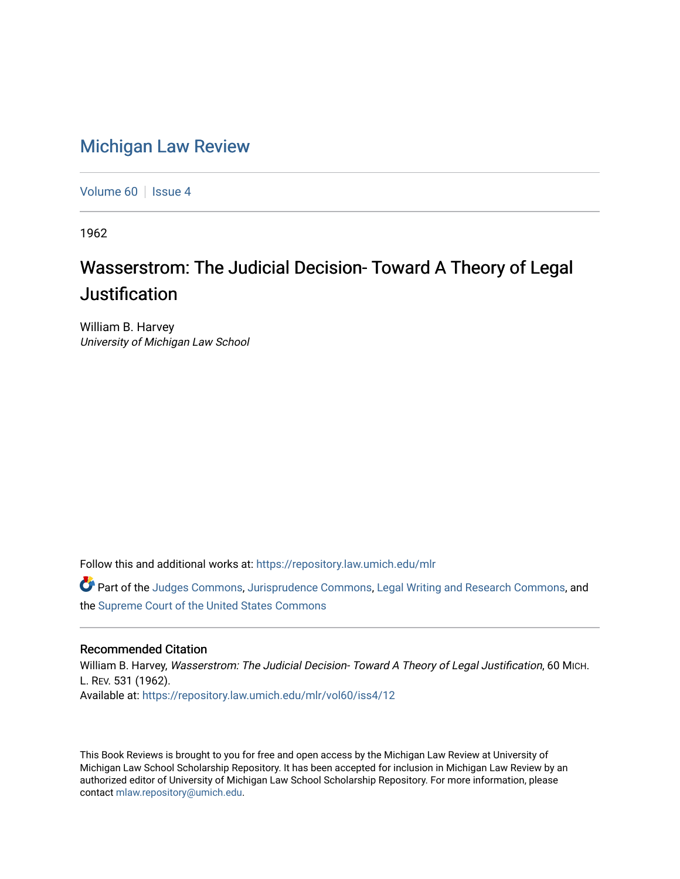## [Michigan Law Review](https://repository.law.umich.edu/mlr)

[Volume 60](https://repository.law.umich.edu/mlr/vol60) | [Issue 4](https://repository.law.umich.edu/mlr/vol60/iss4)

1962

# Wasserstrom: The Judicial Decision- Toward A Theory of Legal Justification

William B. Harvey University of Michigan Law School

Follow this and additional works at: [https://repository.law.umich.edu/mlr](https://repository.law.umich.edu/mlr?utm_source=repository.law.umich.edu%2Fmlr%2Fvol60%2Fiss4%2F12&utm_medium=PDF&utm_campaign=PDFCoverPages) 

Part of the [Judges Commons,](http://network.bepress.com/hgg/discipline/849?utm_source=repository.law.umich.edu%2Fmlr%2Fvol60%2Fiss4%2F12&utm_medium=PDF&utm_campaign=PDFCoverPages) [Jurisprudence Commons](http://network.bepress.com/hgg/discipline/610?utm_source=repository.law.umich.edu%2Fmlr%2Fvol60%2Fiss4%2F12&utm_medium=PDF&utm_campaign=PDFCoverPages), [Legal Writing and Research Commons](http://network.bepress.com/hgg/discipline/614?utm_source=repository.law.umich.edu%2Fmlr%2Fvol60%2Fiss4%2F12&utm_medium=PDF&utm_campaign=PDFCoverPages), and the [Supreme Court of the United States Commons](http://network.bepress.com/hgg/discipline/1350?utm_source=repository.law.umich.edu%2Fmlr%2Fvol60%2Fiss4%2F12&utm_medium=PDF&utm_campaign=PDFCoverPages)

### Recommended Citation

William B. Harvey, Wasserstrom: The Judicial Decision- Toward A Theory of Legal Justification, 60 MICH. L. REV. 531 (1962). Available at: [https://repository.law.umich.edu/mlr/vol60/iss4/12](https://repository.law.umich.edu/mlr/vol60/iss4/12?utm_source=repository.law.umich.edu%2Fmlr%2Fvol60%2Fiss4%2F12&utm_medium=PDF&utm_campaign=PDFCoverPages) 

This Book Reviews is brought to you for free and open access by the Michigan Law Review at University of Michigan Law School Scholarship Repository. It has been accepted for inclusion in Michigan Law Review by an authorized editor of University of Michigan Law School Scholarship Repository. For more information, please contact [mlaw.repository@umich.edu](mailto:mlaw.repository@umich.edu).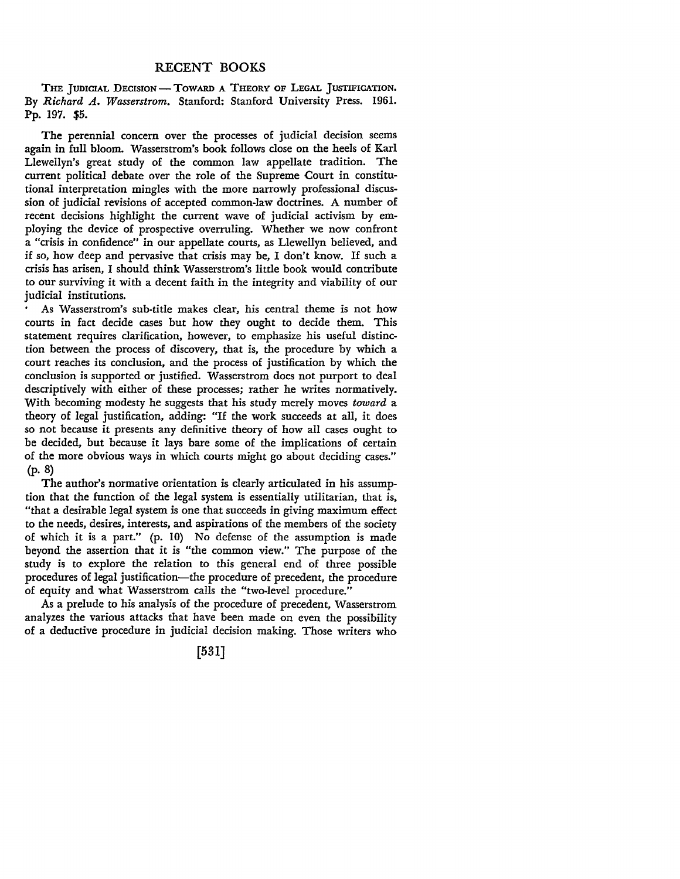#### **RECENT** BOOKS

**THE** JUDICIAL **DECISION-** TOWARD **A** THEORY **OF LEGAL** JUSTIFICATION. **By** *Richard A. Wasserstrom.* Stanford: Stanford University Press. 1961. **Pp.** 197. **\$5.**

The perennial concern over the processes of judicial decision seems again in full bloom. Wasserstrom's book follows close on the heels of Karl Llewellyn's great study of the common law appellate tradition. The current political debate over the role of the Supreme Court in constitutional interpretation mingles with the more narrowly professional discussion of judicial revisions of accepted common-law doctrines. A number of recent decisions highlight the current wave of judicial activism by employing the device of prospective overruling. Whether we now confront a "crisis in confidence" in our appellate courts, as Llewellyn believed, and if so, how deep and pervasive that crisis may be, I don't know. If such a crisis has arisen, I should think Wasserstrom's little book would contribute to our surviving it with a decent faith in the integrity and viability of our judicial institutions.<br>**.** As Wasserstrom's sub-title makes clear, his central theme is not how

courts in fact decide cases but how they ought to decide them. This statement requires clarification, however, to emphasize his useful distinction between the process of discovery, that is, the procedure by which a court reaches its conclusion, and the process of justification by which the conclusion is supported or justified. Wasserstrom does not purport to deal descriptively with either of these processes; rather he writes normatively. With becoming modesty he suggests that his study merely moves *toward* a theory of legal justification, adding: "If the work succeeds at all, it does so not because it presents any definitive theory of how all cases ought to be decided, but because it lays bare some of the implications of certain of the more obvious ways in which courts might go about deciding cases." (p. 8)

The author's normative orientation is clearly articulated in his assumption that the function of the legal system is essentially utilitarian, that is, "that a desirable legal system is one that succeeds in giving maximum effect to the needs, desires, interests, and aspirations of the members of the society of which it is a part." **(p. 10)** No defense of the assumption is made beyond the assertion that it is "the common view." The purpose of the study is to explore the relation to this general end of three possible procedures of legal justification-the procedure of precedent, the procedure of equity and what Wasserstrom calls the "two-level procedure."

As a prelude to his analysis of the procedure of precedent, Wasserstrom analyzes the various attacks that have been made on even the possibility of a deductive procedure in judicial decision making. Those writers who

**[531]**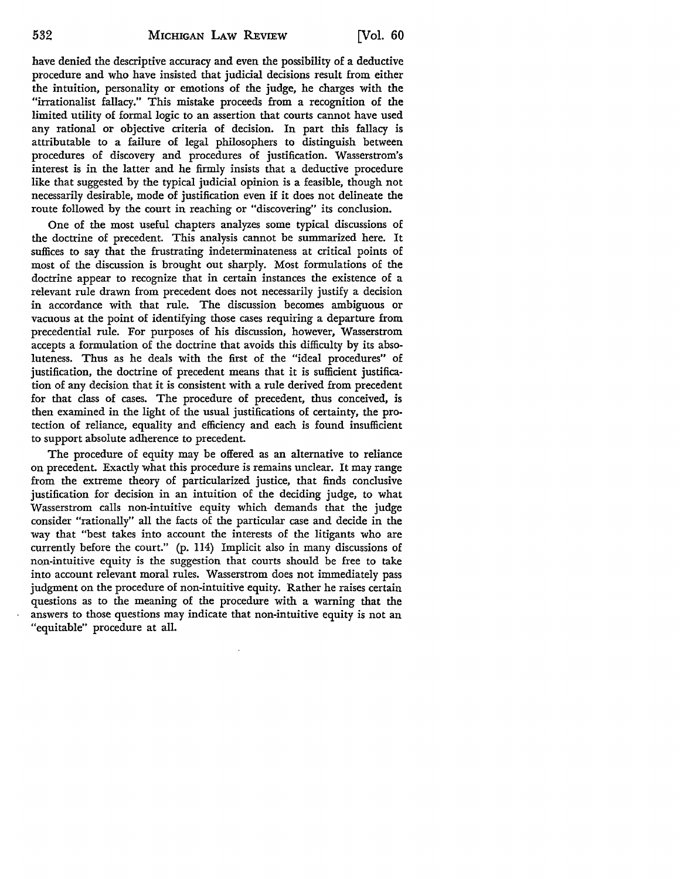have denied the descriptive accuracy and even the possibility of a deductive procedure and who have insisted that judicial decisions result from either the intuition, personality or emotions of the judge, he charges with the "irrationalist fallacy." This mistake proceeds from a recognition of the limited utility of formal logic to an assertion that courts cannot have used any rational or objective criteria of decision. In part this fallacy is attributable to a failure of legal philosophers to distinguish between procedures of discovery and procedures of justification. Wasserstrom's interest is in the latter and he firmly insists that a deductive procedure like that suggested by the typical judicial opinion is a feasible, though not necessarily desirable, mode of justification even if it does not delineate the route followed by the court in reaching or "discovering" its conclusion.

One of the most useful chapters analyzes some typical discussions of the doctrine of precedent. This analysis cannot be summarized here. It suffices to say that the frustrating indeterminateness at critical points of most of the discussion is brought out sharply. Most formulations of the doctrine appear to recognize that in certain instances the existence of a relevant rule drawn from precedent does not necessarily justify a decision in accordance with that rule. The discussion becomes ambiguous or vacuous at the point of identifying those cases requiring a departure from precedential rule. For purposes of his discussion, however, Wasserstrom accepts a formulation of the doctrine that avoids this difficulty by its absoluteness. Thus as he deals with the first of the "ideal procedures" of justification, the doctrine of precedent means that it is sufficient justification of any decision that it is consistent with a rule derived from precedent for that class of cases. The procedure of precedent, thus conceived, is then examined in the light of the usual justifications of certainty, the protection of reliance, equality and efficiency and each is found insufficient to support absolute adherence to precedent.

The procedure of equity may be offered as an alternative to reliance on precedent. Exactly what this procedure is remains unclear. It may range from the extreme theory of particularized justice, that finds conclusive justification for decision in an intuition of the deciding judge, to what Wasserstrom calls non-intuitive equity which demands that the judge consider "rationally" all the facts of the particular case and decide in the way that "best takes into account the interests of the litigants who are currently before the court." **(p.** 114) Implicit also in many discussions of non-intuitive equity is the suggestion that courts should be free to take into account relevant moral rules. Wasserstrom does not immediately pass judgment on the procedure of non-intuitive equity. Rather he raises certain questions as to the meaning of the procedure with a warning that the answers to those questions may indicate that non-intuitive equity is not an "equitable" procedure at all.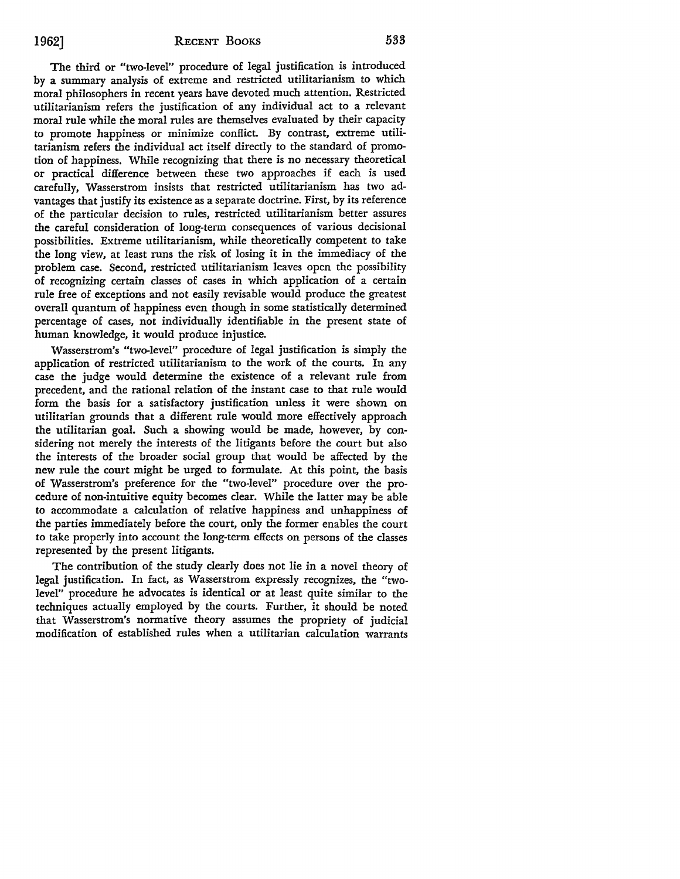#### **1962] RECENT** BOOKS **533**

The third or "two-level" procedure of legal justification is introduced by a summary analysis of extreme and restricted utilitarianism to which moral philosophers in recent years have devoted much attention. Restricted utilitarianism refers the justification of any individual act to a relevant moral rule while the moral rules are themselves evaluated by their capacity to promote happiness or minimize conflict. By contrast, extreme utilitarianism refers the individual act itself directly to the standard of promotion of happiness. While recognizing that there is no necessary theoretical or practical difference between these two approaches if each is used carefully, Wasserstrom insists that restricted utilitarianism has two advantages that justify its existence as a separate doctrine. First, by its reference of the particular decision to rules, restricted utilitarianism better assures the careful consideration of long-term consequences of various decisional possibilities. Extreme utilitarianism, while theoretically competent to take the long view, at least runs the risk of losing it in the immediacy of the problem case. Second, restricted utilitarianism leaves open the possibility of recognizing certain classes of cases in which application of a certain rule free of exceptions and not easily revisable would produce the greatest overall quantum of happiness even though in some statistically determined percentage of cases, not individually identifiable in the present state of human knowledge, it would produce injustice.

Wasserstrom's "two-level" procedure of legal justification is simply the application of restricted utilitarianism to the work of the courts. In any case the judge would determine the existence of a relevant rule from precedent, and the rational relation of the instant case to that rule would form the basis for a satisfactory justification unless it were shown on utilitarian grounds that a different rule would more effectively approach the utilitarian goal. Such a showing would be made, however, by considering not merely the interests of the litigants before the court but also the interests of the broader social group that would be affected by the new rule the court might be urged to formulate. At this point, the basis of Wasserstrom's preference for the "two-level" procedure over the procedure of non-intuitive equity becomes clear. While the latter may be able to accommodate a calculation of relative happiness and unhappiness of the parties immediately before the court, only the former enables the court to take properly into account the long-term effects on persons of the classes represented by the present litigants.

The contribution of the study clearly does not lie in a novel theory of legal justification. In fact, as Wasserstrom expressly recognizes, the "twolevel" procedure he advocates is identical or at least quite similar to the techniques actually employed by the courts. Further, it should be noted that Wasserstrom's normative theory assumes the propriety of judicial modification of established rules when a utilitarian calculation warrants